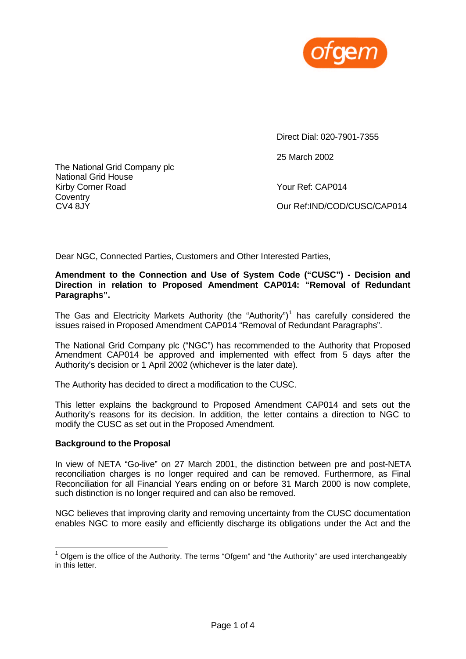

The National Grid Company plc National Grid House Kirby Corner Road Your Ref: CAP014 Coventry<br>CV4 8JY

Direct Dial: 020-7901-7355

25 March 2002

Our Ref:IND/COD/CUSC/CAP014

Dear NGC, Connected Parties, Customers and Other Interested Parties,

### **Amendment to the Connection and Use of System Code ("CUSC") - Decision and Direction in relation to Proposed Amendment CAP014: "Removal of Redundant Paragraphs".**

The Gas and Electricity Markets Authority (the "Authority")<sup>1</sup> has carefully considered the issues raised in Proposed Amendment CAP014 "Removal of Redundant Paragraphs".

The National Grid Company plc ("NGC") has recommended to the Authority that Proposed Amendment CAP014 be approved and implemented with effect from 5 days after the Authority's decision or 1 April 2002 (whichever is the later date).

The Authority has decided to direct a modification to the CUSC.

This letter explains the background to Proposed Amendment CAP014 and sets out the Authority's reasons for its decision. In addition, the letter contains a direction to NGC to modify the CUSC as set out in the Proposed Amendment.

### **Background to the Proposal**

l

In view of NETA "Go-live" on 27 March 2001, the distinction between pre and post-NETA reconciliation charges is no longer required and can be removed. Furthermore, as Final Reconciliation for all Financial Years ending on or before 31 March 2000 is now complete, such distinction is no longer required and can also be removed.

NGC believes that improving clarity and removing uncertainty from the CUSC documentation enables NGC to more easily and efficiently discharge its obligations under the Act and the

 $1$  Ofgem is the office of the Authority. The terms "Ofgem" and "the Authority" are used interchangeably in this letter.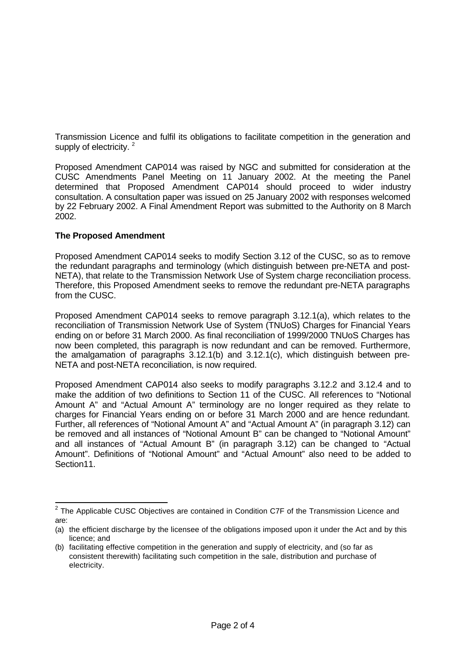Transmission Licence and fulfil its obligations to facilitate competition in the generation and supply of electricity.  $2^2$ 

Proposed Amendment CAP014 was raised by NGC and submitted for consideration at the CUSC Amendments Panel Meeting on 11 January 2002. At the meeting the Panel determined that Proposed Amendment CAP014 should proceed to wider industry consultation. A consultation paper was issued on 25 January 2002 with responses welcomed by 22 February 2002. A Final Amendment Report was submitted to the Authority on 8 March 2002.

## **The Proposed Amendment**

Proposed Amendment CAP014 seeks to modify Section 3.12 of the CUSC, so as to remove the redundant paragraphs and terminology (which distinguish between pre-NETA and post-NETA), that relate to the Transmission Network Use of System charge reconciliation process. Therefore, this Proposed Amendment seeks to remove the redundant pre-NETA paragraphs from the CUSC.

Proposed Amendment CAP014 seeks to remove paragraph 3.12.1(a), which relates to the reconciliation of Transmission Network Use of System (TNUoS) Charges for Financial Years ending on or before 31 March 2000. As final reconciliation of 1999/2000 TNUoS Charges has now been completed, this paragraph is now redundant and can be removed. Furthermore, the amalgamation of paragraphs 3.12.1(b) and 3.12.1(c), which distinguish between pre-NETA and post-NETA reconciliation, is now required.

Proposed Amendment CAP014 also seeks to modify paragraphs 3.12.2 and 3.12.4 and to make the addition of two definitions to Section 11 of the CUSC. All references to "Notional Amount A" and "Actual Amount A" terminology are no longer required as they relate to charges for Financial Years ending on or before 31 March 2000 and are hence redundant. Further, all references of "Notional Amount A" and "Actual Amount A" (in paragraph 3.12) can be removed and all instances of "Notional Amount B" can be changed to "Notional Amount" and all instances of "Actual Amount B" (in paragraph 3.12) can be changed to "Actual Amount". Definitions of "Notional Amount" and "Actual Amount" also need to be added to Section11.

 2 The Applicable CUSC Objectives are contained in Condition C7F of the Transmission Licence and are:

<sup>(</sup>a) the efficient discharge by the licensee of the obligations imposed upon it under the Act and by this licence; and

<sup>(</sup>b) facilitating effective competition in the generation and supply of electricity, and (so far as consistent therewith) facilitating such competition in the sale, distribution and purchase of electricity.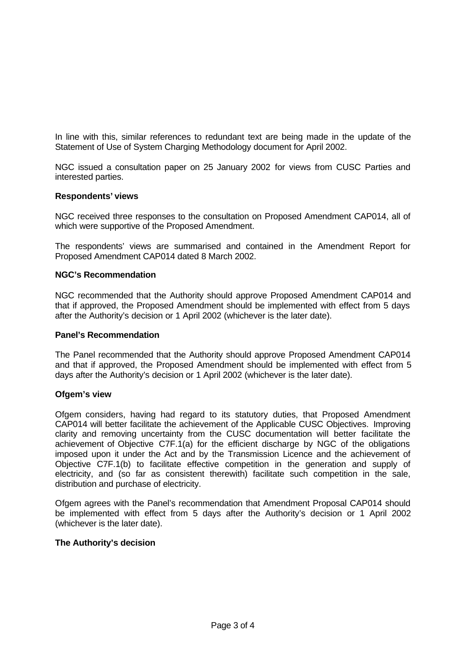In line with this, similar references to redundant text are being made in the update of the Statement of Use of System Charging Methodology document for April 2002.

NGC issued a consultation paper on 25 January 2002 for views from CUSC Parties and interested parties.

### **Respondents' views**

NGC received three responses to the consultation on Proposed Amendment CAP014, all of which were supportive of the Proposed Amendment.

The respondents' views are summarised and contained in the Amendment Report for Proposed Amendment CAP014 dated 8 March 2002.

#### **NGC's Recommendation**

NGC recommended that the Authority should approve Proposed Amendment CAP014 and that if approved, the Proposed Amendment should be implemented with effect from 5 days after the Authority's decision or 1 April 2002 (whichever is the later date).

#### **Panel's Recommendation**

The Panel recommended that the Authority should approve Proposed Amendment CAP014 and that if approved, the Proposed Amendment should be implemented with effect from 5 days after the Authority's decision or 1 April 2002 (whichever is the later date).

#### **Ofgem's view**

Ofgem considers, having had regard to its statutory duties, that Proposed Amendment CAP014 will better facilitate the achievement of the Applicable CUSC Objectives. Improving clarity and removing uncertainty from the CUSC documentation will better facilitate the achievement of Objective C7F.1(a) for the efficient discharge by NGC of the obligations imposed upon it under the Act and by the Transmission Licence and the achievement of Objective C7F.1(b) to facilitate effective competition in the generation and supply of electricity, and (so far as consistent therewith) facilitate such competition in the sale, distribution and purchase of electricity.

Ofgem agrees with the Panel's recommendation that Amendment Proposal CAP014 should be implemented with effect from 5 days after the Authority's decision or 1 April 2002 (whichever is the later date).

### **The Authority's decision**